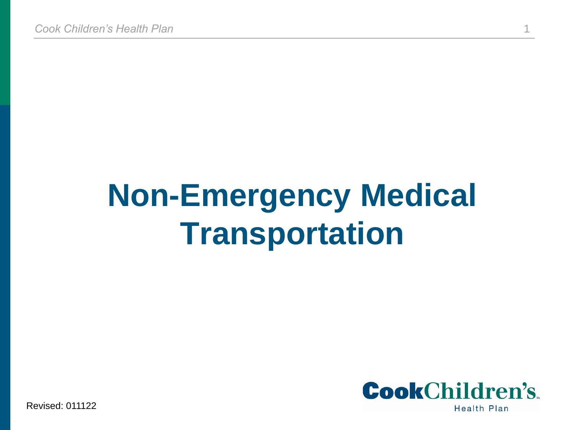# **Non-Emergency Medical Transportation**



Revised: 011122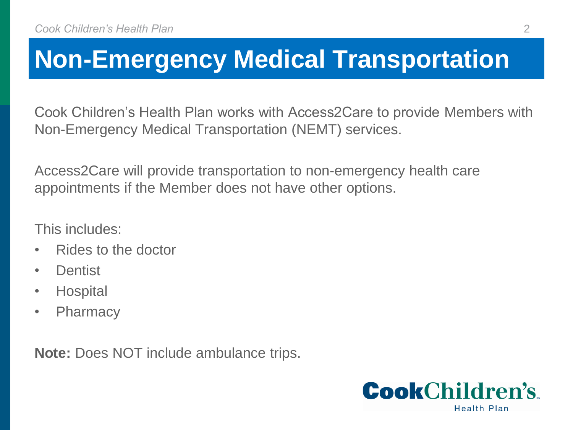## **Non-Emergency Medical Transportation**

Cook Children's Health Plan works with Access2Care to provide Members with Non-Emergency Medical Transportation (NEMT) services.

Access2Care will provide transportation to non-emergency health care appointments if the Member does not have other options.

This includes:

- Rides to the doctor
- Dentist
- Hospital
- Pharmacy

**Note:** Does NOT include ambulance trips.

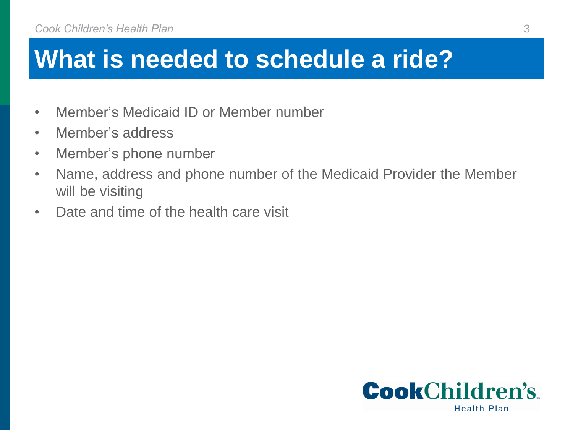#### **What is needed to schedule a ride?**

- Member's Medicaid ID or Member number
- Member's address
- Member's phone number
- Name, address and phone number of the Medicaid Provider the Member will be visiting
- Date and time of the health care visit

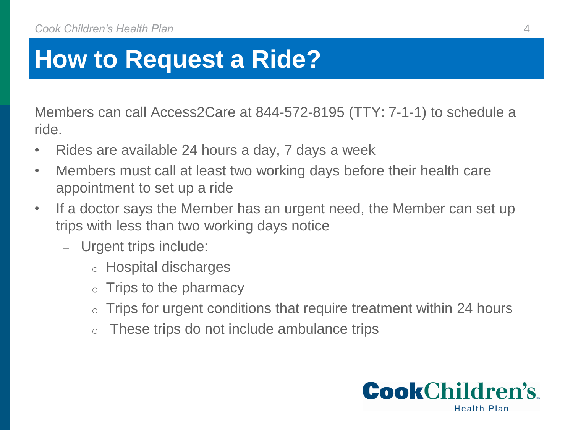## **How to Request a Ride?**

Members can call Access2Care at 844-572-8195 (TTY: 7-1-1) to schedule a ride.

- Rides are available 24 hours a day, 7 days a week
- Members must call at least two working days before their health care appointment to set up a ride
- If a doctor says the Member has an urgent need, the Member can set up trips with less than two working days notice
	- Urgent trips include:
		- o Hospital discharges
		- Trips to the pharmacy
		- $\circ$  Trips for urgent conditions that require treatment within 24 hours
		- o These trips do not include ambulance trips